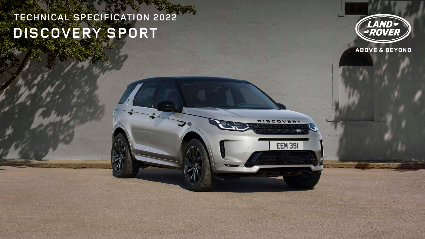# **TECHNICAL SPECIFICATION 2022 DISCOVERY SPORT**



**EEM 391** 



# **ABOVE & BEYOND**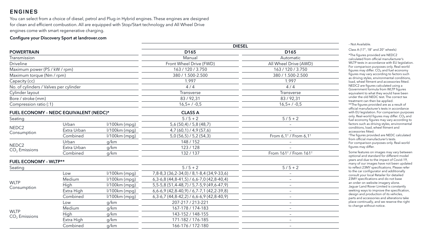# **ENGINES**

You can select from a choice of diesel, petrol and Plug-in Hybrid engines. These engines are designed for clean and efficient combustion. All are equipped with Stop/Start technology and All Wheel Drive engines come with smart regenerative charging.

#### Configure your Discovery Sport at landrover.com

|                                        |                                        |                 | <b>DIESEL</b>                              |                                                                                     |
|----------------------------------------|----------------------------------------|-----------------|--------------------------------------------|-------------------------------------------------------------------------------------|
| <b>POWERTRAIN</b>                      |                                        |                 | D <sub>165</sub>                           | D <sub>165</sub>                                                                    |
| Transmission                           |                                        |                 | Manual                                     | Automatic                                                                           |
| <b>Driveline</b>                       |                                        |                 | Front Wheel Drive (FWD)                    | All Wheel Drive (AWD)                                                               |
| Maximum power (PS / kW / rpm)          |                                        |                 | 163 / 120 / 3.750                          | 163 / 120 / 3.750                                                                   |
| Maximum torque (Nm / rpm)              |                                        |                 | 380 / 1.500-2.500                          | 380 / 1.500-2.500                                                                   |
| Capacity (cc)                          |                                        |                 | 1.997                                      | 1.997                                                                               |
| No. of cylinders / Valves per cylinder |                                        |                 | 4/4                                        | 4/4                                                                                 |
| Cylinder layout                        |                                        |                 | Transverse                                 | Transverse                                                                          |
| Bore / stroke (mm)                     |                                        |                 | 83/92,31                                   | 83/92,31                                                                            |
| Compression ratio (:1)                 |                                        |                 | $16,5+7.0,5$                               | $16,5+7.0,5$                                                                        |
|                                        | FUEL ECONOMY - NEDC EQUIVALENT (NEDC)* |                 | <b>CLASS A</b>                             |                                                                                     |
| Seating                                |                                        |                 | $5/5 + 2$                                  | $5/5 + 2$                                                                           |
|                                        | Urban                                  | $1/100km$ (mpg) | $5,6(50,4)$ / $5,8(48,7)$                  |                                                                                     |
| NEDC <sub>2</sub>                      | Extra Urban                            | $1/100km$ (mpg) | 4,7(60,1)/4,9(57,6)                        |                                                                                     |
| Consumption                            | Combined                               | $1/100km$ (mpg) | 5,0(56,5) / 5,2(54,3)                      | From 6,1 <sup><math>\dagger</math></sup> / From 6,1 <sup><math>\dagger</math></sup> |
|                                        | Urban                                  | g/km            | 148 / 152                                  |                                                                                     |
| NEDC <sub>2</sub><br>$CO2$ Emissions   | Extra Urban                            | g/km            | 123/128                                    |                                                                                     |
|                                        | Combined                               | g/km            | 132/137                                    | From 161 <sup>+</sup> / From 161 <sup>+</sup>                                       |
| <b>FUEL ECONOMY - WLTP**</b>           |                                        |                 |                                            |                                                                                     |
| Seating                                |                                        |                 | $5/5 + 2$                                  | $5/5 + 2$                                                                           |
|                                        | Low                                    | $1/100km$ (mpg) | 7,8-8,3 (36,2-34,0) / 8,1-8,4 (34,9-33,6)  |                                                                                     |
|                                        | Medium                                 | $1/100km$ (mpg) | $6,3-6,8(44,8-41,5)$ / 6,6-7,0 (42,8-40,4) |                                                                                     |
| <b>WLTP</b>                            | High                                   | $1/100km$ (mpg) | 5,5-5,8 (51,4-48,7) / 5,7-5,9 (49,6-47,9)  |                                                                                     |
| Consumption                            | Extra High                             | $1/100km$ (mpg) | $6,6-6,9(42,8-40,9)$ / 6,7-7,1 (42,2-39,8) |                                                                                     |
|                                        | Combined                               | $1/100km$ (mpg) | $6,3-6,7(44,8-42,2)$ / 6,6-6,9 (42,8-40,9) | $\qquad \qquad -$                                                                   |
|                                        | Low                                    | g/km            | 207-217 / 213-221                          | $\qquad \qquad -$                                                                   |
| <b>WLTP</b>                            | Medium                                 | g/km            | 167-178 / 174-183                          | $\overline{\phantom{m}}$                                                            |
|                                        | High                                   | g/km            | 143-152 / 148-155                          |                                                                                     |
| $CO2$ Emissions                        | Extra High                             | g/km            | 171-182 / 176-185                          |                                                                                     |
|                                        | Combined                               | g/km            | 166-176 / 172-180                          |                                                                                     |
|                                        |                                        |                 |                                            |                                                                                     |

| D165                                  |
|---------------------------------------|
| tomatic                               |
| Drive (AWD)                           |
| 120 / 3.750                           |
| 1.500-2.500                           |
| 1.997                                 |
| 4/4                                   |
| nsverse                               |
| /92,31                                |
| $5+$ / $-0,5$                         |
|                                       |
|                                       |
| $/5 + 2$                              |
|                                       |
|                                       |
| $1^{\dagger}$ / From 6,1 <sup>+</sup> |
|                                       |
|                                       |
| $1^+$ / From $161^+$                  |
|                                       |
| $/5 + 2$                              |
|                                       |
|                                       |

#### – Not Available.

Class A (17", 18" and 20" wheels)

\*The figures provided are NEDC2 calculated from official manufacturer's WLTP tests in accordance with EU legislation. For comparison purposes only. Real-world figures may differ.  $CO<sub>2</sub>$  and fuel economy figures may vary according to factors such as driving styles, environmental conditions, load, wheel fitment and accessories fitted. NEDC2 are figures calculated using a Government formula from WLTP figures equivalent to what they would have been under the old NEDC test. The correct tax treatment can then be applied. \*\*The figures provided are as a result of official manufacturer's tests in accordance with EU legislation. For comparison purposes only. Real-world figures may differ.  $CO<sub>2</sub>$  and fuel economy figures may vary according to factors such as driving styles, environmental conditions, load, wheel fitment and

accessories fitted.

† The figures provided are NEDC calculated from official manufacturer's tests. For comparison purposes only. Real-world figures may differ.

Some features on images may vary between optional and standard for different model years and due to the impact of Covid-19, many of our images have not been updated to reflect 23MY specifications. Please refer to the car configurator and additionally consult your local Retailer for detailed 23MY specifications and do not base an order on website imagery alone. Jaguar Land Rover Limited is constantly seeking ways to improve the specification, design and production of its vehicles, parts and accessories and alterations take place continually, and we reserve the right to change without notice.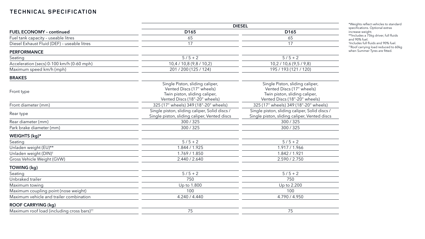|                                                        | <b>DIESEL</b>                                                                                                                  |                                                                                                                                |  |  |
|--------------------------------------------------------|--------------------------------------------------------------------------------------------------------------------------------|--------------------------------------------------------------------------------------------------------------------------------|--|--|
| <b>FUEL ECONOMY - continued</b>                        | D <sub>165</sub>                                                                                                               | D <sub>165</sub>                                                                                                               |  |  |
| Fuel tank capacity - useable litres                    | 65                                                                                                                             | 65                                                                                                                             |  |  |
| Diesel Exhaust Fluid (DEF) - useable litres            | 17                                                                                                                             | 17                                                                                                                             |  |  |
| <b>PERFORMANCE</b>                                     |                                                                                                                                |                                                                                                                                |  |  |
| Seating                                                | $5/5 + 2$                                                                                                                      | $5/5 + 2$                                                                                                                      |  |  |
| Acceleration (secs) 0-100 km/h (0-60 mph)              | 10,4 / 10,8 (9,8 / 10,2)                                                                                                       | 10,2 / 10,6 (9,5 / 9,8)                                                                                                        |  |  |
| Maximum speed km/h (mph)                               | 201 / 200 (125 / 124)                                                                                                          | 195 / 193 (121 / 120)                                                                                                          |  |  |
| <b>BRAKES</b>                                          |                                                                                                                                |                                                                                                                                |  |  |
| Front type                                             | Single Piston, sliding caliper,<br>Vented Discs (17" wheels)<br>Twin piston, sliding caliper,<br>Vented Discs (18"-20" wheels) | Single Piston, sliding caliper,<br>Vented Discs (17" wheels)<br>Twin piston, sliding caliper,<br>Vented Discs (18"-20" wheels) |  |  |
| Front diameter (mm)                                    | 325 (17" wheels) 349 (18"-20" wheels)                                                                                          | 325 (17" wheels) 349 (18"-20" wheels)                                                                                          |  |  |
| Rear type                                              | Single piston, sliding caliper, Solid discs /<br>Single piston, sliding caliper, Vented discs                                  | Single piston, sliding caliper, Solid discs /<br>Single piston, sliding caliper, Vented discs                                  |  |  |
| Rear diameter (mm)                                     | 300 / 325                                                                                                                      | 300 / 325                                                                                                                      |  |  |
| Park brake diameter (mm)                               | 300/325                                                                                                                        | 300/325                                                                                                                        |  |  |
| WEIGHTS (kg)*                                          |                                                                                                                                |                                                                                                                                |  |  |
| Seating                                                | $5/5 + 2$                                                                                                                      | $5/5 + 2$                                                                                                                      |  |  |
| Unladen weight (EU)**                                  | 1.844 / 1.925                                                                                                                  | 1.917 / 1.966                                                                                                                  |  |  |
| Unladen weight (DIN) <sup>+</sup>                      | 1.769/1.850                                                                                                                    | 1.842 / 1.921                                                                                                                  |  |  |
| Gross Vehicle Weight (GVW)                             | 2.440 / 2.640                                                                                                                  | 2.590 / 2.750                                                                                                                  |  |  |
| TOWING (kg)                                            |                                                                                                                                |                                                                                                                                |  |  |
| Seating                                                | $5/5 + 2$                                                                                                                      | $5/5 + 2$                                                                                                                      |  |  |
| Unbraked trailer                                       | 750                                                                                                                            | 750                                                                                                                            |  |  |
| Maximum towing                                         | Up to 1.800                                                                                                                    | Up to 2.200                                                                                                                    |  |  |
| Maximum coupling point (nose weight)                   | 100                                                                                                                            | 100                                                                                                                            |  |  |
| Maximum vehicle and trailer combination                | 4.240 / 4.440                                                                                                                  | 4.790 / 4.950                                                                                                                  |  |  |
| <b>ROOF CARRYING (kg)</b>                              |                                                                                                                                |                                                                                                                                |  |  |
| Maximum roof load (including cross bars) <sup>††</sup> | 75                                                                                                                             | 75                                                                                                                             |  |  |

\*Weights reflect vehicles to standard specifications. Optional extras increase weight.

\*\*Includes a 75kg driver, full fluids

and 90% fuel. † Includes full fluids and 90% fuel.

††Roof carrying load reduced to 60kg when Summer Tyres are fitted.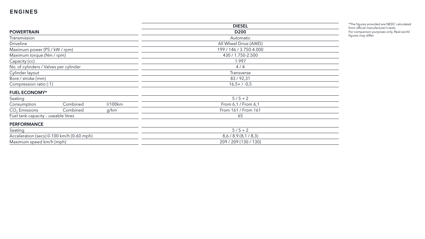|                                           |          |         | <b>DIESEL</b>           |  |  |
|-------------------------------------------|----------|---------|-------------------------|--|--|
| <b>POWERTRAIN</b>                         |          |         | D <sub>200</sub>        |  |  |
| Transmission                              |          |         | Automatic               |  |  |
| <b>Driveline</b>                          |          |         | All Wheel Drive (AWD)   |  |  |
| Maximum power (PS / kW / rpm)             |          |         | 199 / 146 / 3.750-4.000 |  |  |
| Maximum torque (Nm / rpm)                 |          |         | 430 / 1.750-2.500       |  |  |
| Capacity (cc)                             |          |         | 1.997                   |  |  |
| No. of cylinders / Valves per cylinder    |          |         | 4/4                     |  |  |
| Cylinder layout                           |          |         | Transverse              |  |  |
| Bore / stroke (mm)                        |          |         | 83/92,31                |  |  |
| Compression ratio (:1)                    |          |         | $16,5+7-0,5$            |  |  |
| <b>FUEL ECONOMY*</b>                      |          |         |                         |  |  |
| Seating                                   |          |         | $5/5 + 2$               |  |  |
| Consumption                               | Combined | l/100km | From 6,1 / From 6,1     |  |  |
| $CO2$ Emissions                           | Combined | g/km    | From 161 / From 161     |  |  |
| Fuel tank capacity - useable litres       |          |         | 65                      |  |  |
| <b>PERFORMANCE</b>                        |          |         |                         |  |  |
| Seating                                   |          |         | $5/5 + 2$               |  |  |
| Acceleration (secs) 0-100 km/h (0-60 mph) |          |         | 8,6/8,9(8,1/8,3)        |  |  |
| Maximum speed km/h (mph)                  |          |         | 209 / 209 (130 / 130)   |  |  |
|                                           |          |         |                         |  |  |

# **ENGINES**

\*The figures provided are NEDC calculated from official manufacturer's tests. For comparison purposes only. Real-world figures may differ.

 $\sim$ 

<u> 1989 - Johann Barn, amerikansk politiker (</u>

<u> 1989 - Johann Barbara, martxa alemaniar arg</u>

<u> 1989 - Johann Barn, mars ann an t-Amhain an t-Amhain an t-Amhain an t-Amhain an t-Amhain an t-Amhain an t-A</u>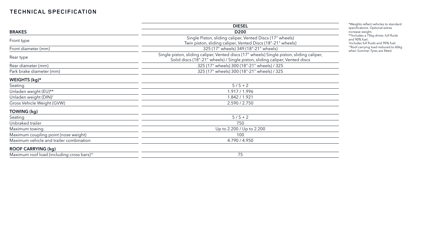|                                                        | <b>DIESEL</b>                                                                                                                                                            |  |  |
|--------------------------------------------------------|--------------------------------------------------------------------------------------------------------------------------------------------------------------------------|--|--|
| <b>BRAKES</b>                                          | D <sub>200</sub>                                                                                                                                                         |  |  |
| Front type                                             | Single Piston, sliding caliper, Vented Discs (17" wheels)                                                                                                                |  |  |
|                                                        | Twin piston, sliding caliper, Vented Discs (18"-21" wheels)                                                                                                              |  |  |
| Front diameter (mm)                                    | 325 (17" wheels) 349 (18"-21" wheels)                                                                                                                                    |  |  |
| Rear type                                              | Single piston, sliding caliper, Vented discs (17" wheels) Single piston, sliding caliper,<br>Solid discs (18"-21" wheels) / Single piston, sliding caliper, Vented discs |  |  |
| Rear diameter (mm)                                     | 325 (17" wheels) 300 (18"-21" wheels) / 325                                                                                                                              |  |  |
| Park brake diameter (mm)                               | 325 (17" wheels) 300 (18"-21" wheels) / 325                                                                                                                              |  |  |
| WEIGHTS $(kg)^*$                                       |                                                                                                                                                                          |  |  |
| Seating                                                | $5/5 + 2$                                                                                                                                                                |  |  |
| Unladen weight (EU)**                                  | 1.917 / 1.996                                                                                                                                                            |  |  |
| Unladen weight (DIN) <sup>†</sup>                      | 1.842 / 1.921                                                                                                                                                            |  |  |
| Gross Vehicle Weight (GVW)                             | 2.590 / 2.750                                                                                                                                                            |  |  |
| TOWING (kg)                                            |                                                                                                                                                                          |  |  |
| Seating                                                | $5/5 + 2$                                                                                                                                                                |  |  |
| Unbraked trailer                                       | 750                                                                                                                                                                      |  |  |
| Maximum towing                                         | Up to 2.200 / Up to 2.200                                                                                                                                                |  |  |
| Maximum coupling point (nose weight)                   | 100                                                                                                                                                                      |  |  |
| Maximum vehicle and trailer combination                | 4.790 / 4.950                                                                                                                                                            |  |  |
| <b>ROOF CARRYING (kg)</b>                              |                                                                                                                                                                          |  |  |
| Maximum roof load (including cross bars) <sup>††</sup> | 75                                                                                                                                                                       |  |  |

\*Weights reflect vehicles to standard specifications. Optional extras increase weight.

\*\*Includes a 75kg driver, full fluids

and 90% fuel. † Includes full fluids and 90% fuel. ††Roof carrying load reduced to 60kg when Summer Tyres are fitted.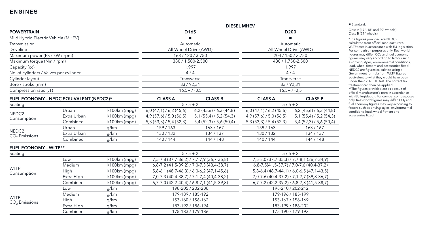|                                         |             |                 |                                                     |                                                           | <b>DIESEL MHEV</b>                             |                                             |
|-----------------------------------------|-------------|-----------------|-----------------------------------------------------|-----------------------------------------------------------|------------------------------------------------|---------------------------------------------|
| <b>POWERTRAIN</b>                       |             |                 |                                                     | D <sub>165</sub>                                          |                                                | D <sub>200</sub>                            |
| Mild Hybrid Electric Vehicle (MHEV)     |             |                 | $\blacksquare$                                      |                                                           | п                                              |                                             |
| Transmission                            |             |                 |                                                     | Automatic                                                 |                                                | Automatic                                   |
| <b>Driveline</b>                        |             |                 |                                                     | All Wheel Drive (AWD)                                     |                                                | All Wheel Drive (AWD)                       |
| Maximum power (PS / kW / rpm)           |             |                 |                                                     | 163 / 120 / 3.750                                         | 204 / 150 / 3.750                              |                                             |
| Maximum torque (Nm / rpm)               |             |                 |                                                     | 380 / 1.500-2.500                                         | 430 / 1.750-2.500                              |                                             |
| Capacity (cc)                           |             |                 |                                                     | 1.997                                                     | 1.997                                          |                                             |
| No. of cylinders / Valves per cylinder  |             |                 |                                                     | 4/4                                                       |                                                | 4/4                                         |
| Cylinder layout                         |             |                 |                                                     | Transverse                                                |                                                | <b>Transverse</b>                           |
| Bore / stroke (mm)                      |             |                 |                                                     | 83/92,31                                                  |                                                | 83/92,31                                    |
| Compression ratio (:1)                  |             |                 |                                                     | $16,5+7.0,5$                                              | $16,5+7.0,5$                                   |                                             |
| FUEL ECONOMY - NEDC EQUIVALENT (NEDC2)* |             | <b>CLASS A</b>  | <b>CLASS B</b>                                      | <b>CLASS A</b>                                            | <b>CLASS B</b>                                 |                                             |
| Seating                                 |             |                 |                                                     | $5/5 + 2$                                                 | $5/5 + 2$                                      |                                             |
| NEDC <sub>2</sub><br>Consumption        | Urban       | l/100km (mpg)   | $6,0(47,1)$ / 6,2 (45,6)                            | $6,2(45,6)$ / 6,3 $(44,8)$                                | $6,0(47,1)$ / 6,2 (45,6)                       | $6,2(45,6)$ / 6,3 (44,8)                    |
|                                         | Extra Urban | $1/100km$ (mpg) | $4,9(57,6)$ / 5,0 (56,5)                            | $5,1(55,4)$ / 5,2 $(54,3)$                                | $4,9(57,6)$ / 5,0 (56,5)                       | $5,1(55,4)$ / 5,2 $(54,3)$                  |
|                                         | Combined    | l/100km (mpg)   | 5,3(53,3)/5,4(52,3)                                 | 5,4(52,3)/5,6(50,4)                                       | 5,3(53,3)/5,4(52,3)                            | 5,4(52,3)/5,6(50,4)                         |
|                                         | Urban       | g/km            | 159/163                                             | 163/167                                                   | 159/163                                        | 163/167                                     |
| NEDC <sub>2</sub><br>$CO2$ Emissions    | Extra Urban | g/km            | 130/132                                             | 134/137                                                   | 130/132                                        | 134/137                                     |
|                                         | Combined    | g/km            | 140/144                                             | 144 / 148                                                 | 140 / 144                                      | 144 / 148                                   |
| <b>FUEL ECONOMY - WLTP**</b>            |             |                 |                                                     |                                                           |                                                |                                             |
| Seating                                 |             |                 |                                                     | $5/5 + 2$                                                 |                                                | $5/5 + 2$                                   |
|                                         | Low         | $1/100km$ (mpg) |                                                     | 7, 5 - 7, 8 (37, 7 - 36, 2) / 7, 7 - 7, 9 (36, 7 - 35, 8) |                                                | 7,5-8,0 (37,7-35,3) / 7,7-8,1 (36,7-34,9)   |
|                                         | Medium      | I/100km (mpg)   | $6, 8-7, 2$ (41, 5-39, 2) / 7, 0-7, 3 (40, 4-38, 7) |                                                           | $6, 8-7, 5(41, 5-37, 7)$ / 7,0-7,6 (40,4-37,2) |                                             |
| <b>WLTP</b><br>Consumption              | High        | l/100km (mpg)   |                                                     | $5,8-6,1(48,7-46,3)$ / 6,0-6,2 (47,1-45,6)                | $5,8-6,4(48,7-44,1)$ / 6,0-6,5 (47,1-43,5)     |                                             |
|                                         | Extra High  | $1/100km$ (mpg) |                                                     | 7,0-7,3 (40,4-38,7) / 7,1-7,4 (40,4-38,2)                 | 7,0-7,6 (40,4-37,2) / 7,1-7,7 (39,8-36,7)      |                                             |
|                                         | Combined    | $1/100km$ (mpg) |                                                     | $6,7-7,0$ (42,2-40,4) / 6,8-7,1 (41,5-39,8)               |                                                | $6,7-7,2$ (42,2-39,2) / 6,8-7,3 (41,5-38,7) |
|                                         | Low         | g/km            |                                                     | 198-205 / 202-208                                         |                                                | 198-210 / 202-212                           |
|                                         | Medium      | g/km            |                                                     | 179-189 / 185-192                                         |                                                | 179-196 / 185-199                           |
| <b>WLTP</b><br>$CO2$ Emissions          | High        | g/km            |                                                     | 153-160 / 156-162                                         |                                                | 153-167 / 156-169                           |
|                                         | Extra High  | g/km            |                                                     | 183-192 / 186-194                                         |                                                | 183-199 / 186-202                           |
|                                         | Combined    | g/km            | 175-183 / 179-186                                   |                                                           | 175-190 / 179-193                              |                                             |

■ Standard.

Class A (17", 18" and 20" wheels) Class B (21" wheels)

\*The figures provided are NEDC2 calculated from official manufacturer's WLTP tests in accordance with EU legislation. For comparison purposes only. Real-world figures may differ. CO<sub>2</sub> and fuel economy figures may vary according to factors such as driving styles, environmental conditions, load, wheel fitment and accessories fitted. NEDC2 are figures calculated using a Government formula from WLTP figures equivalent to what they would have been under the old NEDC test. The correct tax treatment can then be applied. \*\*The figures provided are as a result of official manufacturer's tests in accordance with EU legislation. For comparison purposes only. Real-world figures may differ. CO₂ and fuel economy figures may vary according to factors such as driving styles, environmental conditions, load, wheel fitment and

accessories fitted.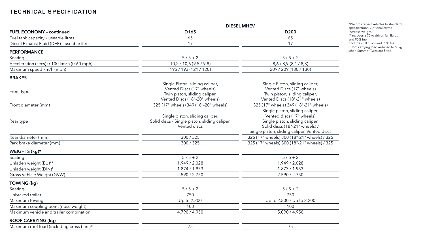|                                                        | <b>DIESEL MHEV</b>                                                                                                             |                                                                                                                                                                                   |  |  |
|--------------------------------------------------------|--------------------------------------------------------------------------------------------------------------------------------|-----------------------------------------------------------------------------------------------------------------------------------------------------------------------------------|--|--|
| <b>FUEL ECONOMY - continued</b>                        | D <sub>165</sub>                                                                                                               | D <sub>200</sub>                                                                                                                                                                  |  |  |
| Fuel tank capacity - useable litres                    | 65                                                                                                                             | 65                                                                                                                                                                                |  |  |
| Diesel Exhaust Fluid (DEF) - useable litres            | 17                                                                                                                             | 17                                                                                                                                                                                |  |  |
| <b>PERFORMANCE</b>                                     |                                                                                                                                |                                                                                                                                                                                   |  |  |
| Seating                                                | $5/5 + 2$                                                                                                                      | $5/5 + 2$                                                                                                                                                                         |  |  |
| Acceleration (secs) 0-100 km/h (0-60 mph)              | 10,2 / 10,6 (9,5 / 9,8)                                                                                                        | 8,6/8,9(8,1/8,3)                                                                                                                                                                  |  |  |
| Maximum speed km/h (mph)                               | 195 / 193 (121 / 120)                                                                                                          | 209 / 209 (130 / 130)                                                                                                                                                             |  |  |
| <b>BRAKES</b>                                          |                                                                                                                                |                                                                                                                                                                                   |  |  |
| Front type                                             | Single Piston, sliding caliper,<br>Vented Discs (17" wheels)<br>Twin piston, sliding caliper,<br>Vented Discs (18"-20" wheels) | Single Piston, sliding caliper,<br>Vented Discs (17" wheels)<br>Twin piston, sliding caliper,<br>Vented Discs (18"-21" wheels)                                                    |  |  |
| Front diameter (mm)                                    | 325 (17" wheels) 349 (18"-20" wheels)                                                                                          | 325 (17" wheels) 349 (18"-21" wheels)                                                                                                                                             |  |  |
| Rear type                                              | Single piston, sliding caliper,<br>Solid discs / Single piston, sliding caliper,<br>Vented discs                               | Single piston, sliding caliper,<br>Vented discs (17" wheels)<br>Single piston, sliding caliper,<br>Solid discs (18"-21" wheels) /<br>Single piston, sliding caliper, Vented discs |  |  |
| Rear diameter (mm)                                     | 300/325                                                                                                                        | 325 (17" wheels) 300 (18"-21" wheels) / 325                                                                                                                                       |  |  |
| Park brake diameter (mm)                               | 300/325                                                                                                                        | 325 (17" wheels) 300 (18"-21" wheels) / 325                                                                                                                                       |  |  |
| WEIGHTS (kg)*                                          |                                                                                                                                |                                                                                                                                                                                   |  |  |
| Seating                                                | $5/5 + 2$                                                                                                                      | $5/5 + 2$                                                                                                                                                                         |  |  |
| Unladen weight (EU)**                                  | 1.949 / 2.028                                                                                                                  | 1.949 / 2.028                                                                                                                                                                     |  |  |
| Unladen weight (DIN) <sup>†</sup>                      | 1.874 / 1.953                                                                                                                  | 1.873 / 1.953                                                                                                                                                                     |  |  |
| Gross Vehicle Weight (GVW)                             | 2.590 / 2.750                                                                                                                  | 2.590 / 2.750                                                                                                                                                                     |  |  |
| <b>TOWING (kg)</b>                                     |                                                                                                                                |                                                                                                                                                                                   |  |  |
| Seating                                                | $5/5 + 2$                                                                                                                      | $5/5 + 2$                                                                                                                                                                         |  |  |
| Unbraked trailer                                       | 750                                                                                                                            | 750                                                                                                                                                                               |  |  |
| Maximum towing                                         | Up to 2.200                                                                                                                    | Up to 2.500 / Up to 2.200                                                                                                                                                         |  |  |
| Maximum coupling point (nose weight)                   | 100                                                                                                                            | 100                                                                                                                                                                               |  |  |
| Maximum vehicle and trailer combination                | 4.790 / 4.950                                                                                                                  | 5.090 / 4.950                                                                                                                                                                     |  |  |
| <b>ROOF CARRYING (kg)</b>                              |                                                                                                                                |                                                                                                                                                                                   |  |  |
| Maximum roof load (including cross bars) <sup>††</sup> | 75                                                                                                                             | 75                                                                                                                                                                                |  |  |
|                                                        |                                                                                                                                |                                                                                                                                                                                   |  |  |

\*Weights reflect vehicles to standard specifications. Optional extras increase weight.

\*\*Includes a 75kg driver, full fluids

and 90% fuel. † Includes full fluids and 90% fuel.

††Roof carrying load reduced to 60kg when Summer Tyres are fitted.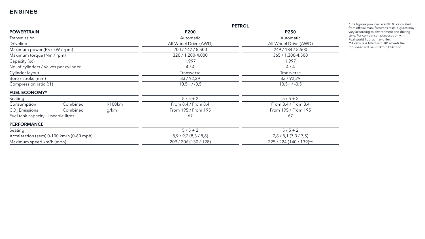|                                        |                                           |         | <b>PETROL</b>         |                         |  |  |
|----------------------------------------|-------------------------------------------|---------|-----------------------|-------------------------|--|--|
| <b>POWERTRAIN</b>                      |                                           |         | <b>P200</b>           | P250                    |  |  |
| Transmission                           |                                           |         | Automatic             | Automatic               |  |  |
| <b>Driveline</b>                       |                                           |         | All Wheel Drive (AWD) | All Wheel Drive (AWD)   |  |  |
| Maximum power (PS / kW / rpm)          |                                           |         | 200 / 147 / 5.500     | 249 / 184 / 5.500       |  |  |
| Maximum torque (Nm / rpm)              |                                           |         | 320 / 1.200-4.000     | 365 / 1.300-4.500       |  |  |
| Capacity (cc)                          |                                           |         | 1.997                 | 1.997                   |  |  |
| No. of cylinders / Valves per cylinder |                                           |         | 4/4                   | 4/4                     |  |  |
| Cylinder layout                        |                                           |         | Transverse            | Transverse              |  |  |
| Bore / stroke (mm)                     |                                           |         | 83/92,29              | 83/92,29                |  |  |
| Compression ratio (:1)                 |                                           |         | $10,5+/-0,5$          | $10,5+/-0,5$            |  |  |
| <b>FUEL ECONOMY*</b>                   |                                           |         |                       |                         |  |  |
| Seating                                |                                           |         | $5/5 + 2$             | $5/5 + 2$               |  |  |
| Consumption                            | Combined                                  | l/100km | From 8,4 / From 8,4   | From $8,4/$ From $8,4$  |  |  |
| $CO2$ Emissions                        | Combined                                  | g/km    | From 195 / From 195   | From 195 / From 195     |  |  |
| Fuel tank capacity - useable litres    |                                           |         | 67                    | 67                      |  |  |
| <b>PERFORMANCE</b>                     |                                           |         |                       |                         |  |  |
| Seating                                |                                           |         | $5/5 + 2$             | $5/5 + 2$               |  |  |
|                                        | Acceleration (secs) 0-100 km/h (0-60 mph) |         | 8,9/9,2(8,3/8,6)      | 7,8/8,1(7,3/7,5)        |  |  |
| Maximum speed km/h (mph)               |                                           |         | 209 / 206 (130 / 128) | 225 / 224 (140 / 139)** |  |  |

\*The figures provided are NEDC calculated from official manufacturer's tests. Figures may vary according to environment and driving style. For comparison purposes only. Real -world figures may differ. \*\*If vehicle is fitted with 18" wheels the top speed will be 221km/h (137mph).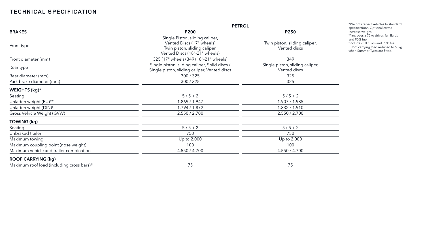|                                                        | <b>PETROL</b>                                                                                                                  |                                                       |  |  |
|--------------------------------------------------------|--------------------------------------------------------------------------------------------------------------------------------|-------------------------------------------------------|--|--|
| <b>BRAKES</b>                                          | <b>P200</b>                                                                                                                    | P250<br>Twin piston, sliding caliper,<br>Vented discs |  |  |
| Front type                                             | Single Piston, sliding caliper,<br>Vented Discs (17" wheels)<br>Twin piston, sliding caliper,<br>Vented Discs (18"-21" wheels) |                                                       |  |  |
| Front diameter (mm)                                    | 325 (17" wheels) 349 (18"-21" wheels)                                                                                          | 349                                                   |  |  |
| Rear type                                              | Single piston, sliding caliper, Solid discs /<br>Single piston, sliding caliper, Vented discs                                  | Single piston, sliding caliper,<br>Vented discs       |  |  |
| Rear diameter (mm)                                     | 300 / 325                                                                                                                      | 325                                                   |  |  |
| Park brake diameter (mm)                               | 300/325                                                                                                                        | 325                                                   |  |  |
| WEIGHTS (kg)*                                          |                                                                                                                                |                                                       |  |  |
| Seating                                                | $5/5 + 2$                                                                                                                      | $5/5 + 2$                                             |  |  |
| Unladen weight (EU)**                                  | 1.869 / 1.947                                                                                                                  | 1.907 / 1.985                                         |  |  |
| Unladen weight (DIN) <sup>+</sup>                      | 1.794 / 1.872                                                                                                                  | 1.832 / 1.910                                         |  |  |
| Gross Vehicle Weight (GVW)                             | 2.550 / 2.700                                                                                                                  | 2.550 / 2.700                                         |  |  |
| TOWING (kg)                                            |                                                                                                                                |                                                       |  |  |
| Seating                                                | $5/5 + 2$                                                                                                                      | $5/5 + 2$                                             |  |  |
| Unbraked trailer                                       | 750                                                                                                                            | 750                                                   |  |  |
| Maximum towing                                         | Up to 2.000                                                                                                                    | Up to 2.000                                           |  |  |
| Maximum coupling point (nose weight)                   | 100                                                                                                                            | 100                                                   |  |  |
| Maximum vehicle and trailer combination                | 4.550 / 4.700                                                                                                                  | 4.550 / 4.700                                         |  |  |
| <b>ROOF CARRYING (kg)</b>                              |                                                                                                                                |                                                       |  |  |
| Maximum roof load (including cross bars) <sup>tt</sup> | 75                                                                                                                             | 75                                                    |  |  |

\*Weights reflect vehicles to standard specifications. Optional extras increase weight.

\*\*Includes a 75kg driver, full fluids

and 90% fuel. † Includes full fluids and 90% fuel. ††Roof carrying load reduced to 60kg when Summer Tyres are fitted.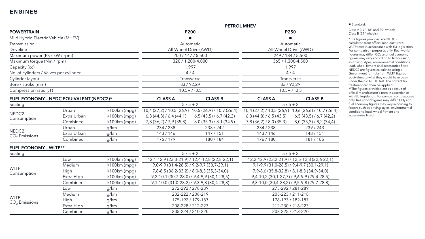|                                        |                                         |                 |                                           |                                                           | <b>PETROL MHEV</b>                                |                                                       |  |
|----------------------------------------|-----------------------------------------|-----------------|-------------------------------------------|-----------------------------------------------------------|---------------------------------------------------|-------------------------------------------------------|--|
| <b>POWERTRAIN</b>                      |                                         | <b>P200</b>     |                                           |                                                           | P250                                              |                                                       |  |
| Mild Hybrid Electric Vehicle (MHEV)    |                                         |                 |                                           | п                                                         |                                                   |                                                       |  |
| Transmission                           |                                         |                 | Automatic                                 |                                                           |                                                   | Automatic                                             |  |
| <b>Driveline</b>                       |                                         |                 | All Wheel Drive (AWD)                     |                                                           |                                                   | All Wheel Drive (AWD)                                 |  |
| Maximum power (PS / kW / rpm)          |                                         |                 |                                           | 200 / 147 / 5.500                                         |                                                   | 249 / 184 / 5.500                                     |  |
| Maximum torque (Nm / rpm)              |                                         |                 | 320 / 1.200-4.000                         |                                                           |                                                   | 365 / 1.300-4.500                                     |  |
| Capacity (cc)                          |                                         |                 |                                           | 1.997                                                     | 1.997                                             |                                                       |  |
| No. of cylinders / Valves per cylinder |                                         |                 |                                           | 4/4                                                       | 4/4                                               |                                                       |  |
| Cylinder layout                        |                                         |                 | Transverse                                |                                                           |                                                   | Transverse                                            |  |
| Bore / stroke (mm)                     |                                         |                 | 83/92,29                                  |                                                           | 83/92,29                                          |                                                       |  |
| Compression ratio (:1)                 |                                         |                 | $10,5+7.0,5$                              |                                                           |                                                   | $10,5+7.0,5$                                          |  |
|                                        | FUEL ECONOMY - NEDC EQUIVALENT (NEDC2)* |                 | <b>CLASS A</b>                            | <b>CLASS B</b>                                            | <b>CLASS A</b>                                    | <b>CLASS B</b>                                        |  |
| Seating                                |                                         |                 |                                           | $5/5 + 2$                                                 |                                                   | $5/5 + 2$                                             |  |
|                                        | Urban                                   | $1/100km$ (mpg) |                                           | $10,4(27,2)$ / $10,5(26,9)$ 10.5 $(26.9)$ / 10.7 $(26.4)$ |                                                   | 10,4 (27,2) / 10,5 (26,9) 10,6 (26,6) / 10,7 (26,4)   |  |
| NEDC <sub>2</sub><br>Consumption       | Extra Urban                             | $1/100km$ (mpg) | $6,3(44,8)$ / 6,4 (44,1)                  | 6.5(43.5)/6.7(42.2)                                       | $6,3(44,8)$ / 6,5 $(43,5)$                        | $6,5(43,5)$ / 6,7 (42,2)                              |  |
|                                        | Combined                                | $1/100km$ (mpg) | 7,8 (36,2) / 7,9 (35,8)                   | 8.0(35.3)/8.1(34.9)                                       | $7,8(36,2)$ / 8,0 (35,3)                          | $8,0(35,3)$ / $8,2(34,4)$                             |  |
|                                        | Urban                                   | g/km            | 234/238                                   | 238/242                                                   | 234/238                                           | 239/243                                               |  |
| NEDC <sub>2</sub><br>$CO2$ Emissions   | Extra Urban                             | g/km            | 143/146                                   | 147/151                                                   | 143/146                                           | 148 / 151                                             |  |
|                                        | Combined                                | g/km            | 176/179                                   | 180/184                                                   | 176/180                                           | 181/185                                               |  |
| <b>FUEL ECONOMY - WLTP**</b>           |                                         |                 |                                           |                                                           |                                                   |                                                       |  |
| Seating                                |                                         |                 |                                           | $5/5 + 2$                                                 |                                                   | $5/5 + 2$                                             |  |
|                                        | Low                                     | l/100km (mpg)   |                                           | 12, 1-12, 9 (23, 3-21, 9) / 12, 4-12, 8 (22, 8-22, 1)     |                                                   | 12, 2-12, 9 (23, 2-21, 9) / 12, 5-12, 8 (22, 6-22, 1) |  |
|                                        | Medium                                  | I/100km (mpg)   |                                           | 9, 0-9, 9 (31, 4-28, 5) / 9, 2-9, 7 (30, 7-29, 1)         | $9,1-9,9(31,0-28,5)$ / $9,4-9,7(30,1-29,1)$       |                                                       |  |
| <b>WLTP</b><br>Consumption             | High                                    | $1/100km$ (mpg) | 7,8-8,5 (36,2-33,2) / 8,0-8,3 (35,3-34,0) |                                                           | 7, 9-8, 6 (35, 8-32, 8) / 8, 1-8, 3 (34, 9-34, 0) |                                                       |  |
|                                        | Extra High                              | $1/100km$ (mpg) |                                           | $9,2-10,1(30,7-28,0)$ / $9,4-9,9(30,1-28,5)$              | $9,4-10,2(30,1-27,7)$ / $9,6-9,9(29,4-28,5)$      |                                                       |  |
|                                        | Combined                                | $1/100km$ (mpg) |                                           | $9,1-10,0$ (31,0-28,2) / 9,3-9,8 (30,4-28,8)              | $9,3-10,0$ (30,4-28,2) / 9,5-9,8 (29,7-28,8)      |                                                       |  |
|                                        | Low                                     | g/km            | 272-292 / 278-289                         |                                                           |                                                   | 275-292 / 281-289                                     |  |
|                                        | Medium                                  | g/km            | 202-222 / 208-219                         |                                                           |                                                   | 205-223 / 211-218                                     |  |
| <b>WLTP</b><br>$CO2$ Emissions         | High                                    | g/km            | 175-192 / 179-187                         |                                                           |                                                   | 178-193 / 182-187                                     |  |
|                                        | Extra High                              | g/km            | 208-228 / 212-223                         |                                                           | 212-230 / 216-223                                 |                                                       |  |
|                                        | Combined                                | g/km            | 205-224 / 210-220                         |                                                           | 208-225 / 213-220                                 |                                                       |  |

■ Standard.

Class A (17", 18" and 20" wheels) Class B (21" wheels)

\*The figures provided are NEDC2 calculated from official manufacturer's WLTP tests in accordance with EU legislation. For comparison purposes only. Real-world figures may differ.  $CO<sub>2</sub>$  and fuel economy figures may vary according to factors such as driving styles, environmental conditions, load, wheel fitment and accessories fitted. NEDC2 are figures calculated using a Government formula from WLTP figures equivalent to what they would have been under the old NEDC test. The correct tax treatment can then be applied. \*\*The figures provided are as a result of official manufacturer's tests in accordance with EU legislation. For comparison purposes only. Real-world figures may differ.  $CO_2$  and fuel economy figures may vary according to factors such as driving styles, environmental conditions, load, wheel fitment and

accessories fitted.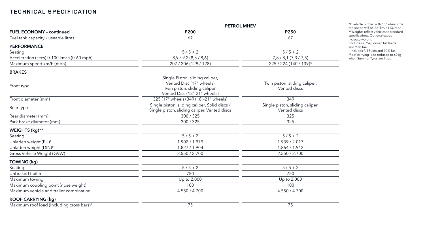|                                                       | <b>PETROL MHEV</b>                                                                                                           |                                                 |  |  |
|-------------------------------------------------------|------------------------------------------------------------------------------------------------------------------------------|-------------------------------------------------|--|--|
| <b>FUEL ECONOMY - continued</b>                       | P200                                                                                                                         | <b>P250</b>                                     |  |  |
| Fuel tank capacity - useable litres                   | 67                                                                                                                           | 67                                              |  |  |
| <b>PERFORMANCE</b>                                    |                                                                                                                              |                                                 |  |  |
| Seating                                               | $5/5 + 2$                                                                                                                    | $5/5 + 2$                                       |  |  |
| Acceleration (secs) 0-100 km/h (0-60 mph)             | 8,9/9,2(8,3/8,6)                                                                                                             | 7,8/8,1(7,3/7,5)                                |  |  |
| Maximum speed km/h (mph)                              | 207 / 206 (129 / 128)                                                                                                        | 225 / 224 (140 / 139)*                          |  |  |
| <b>BRAKES</b>                                         |                                                                                                                              |                                                 |  |  |
| Front type                                            | Single Piston, sliding caliper,<br>Vented Disc (17" wheels)<br>Twin piston, sliding caliper,<br>Vented Disc (18"-21" wheels) | Twin piston, sliding caliper,<br>Vented discs   |  |  |
| Front diameter (mm)                                   | 325 (17" wheels) 349 (18"-21" wheels)                                                                                        | 349                                             |  |  |
| Rear type                                             | Single piston, sliding caliper, Solid discs /<br>Single piston, sliding caliper, Vented discs                                | Single piston, sliding caliper,<br>Vented discs |  |  |
| Rear diameter (mm)                                    | 300/325                                                                                                                      | 325                                             |  |  |
| Park brake diameter (mm)                              | 300/325                                                                                                                      | 325                                             |  |  |
| WEIGHTS (kg)**                                        |                                                                                                                              |                                                 |  |  |
| Seating                                               | $5/5 + 2$                                                                                                                    | $5/5 + 2$                                       |  |  |
| Unladen weight (EU) <sup>+</sup>                      | 1.902 / 1.979                                                                                                                | 1.939 / 2.017                                   |  |  |
| Unladen weight (DIN) <sup>++</sup>                    | 1.827 / 1.904                                                                                                                | 1.864 / 1.942                                   |  |  |
| Gross Vehicle Weight (GVW)                            | 2.550 / 2.700                                                                                                                | 2.550 / 2.700                                   |  |  |
| TOWING (kg)                                           |                                                                                                                              |                                                 |  |  |
| Seating                                               | $5/5 + 2$                                                                                                                    | $5/5 + 2$                                       |  |  |
| Unbraked trailer                                      | 750                                                                                                                          | 750                                             |  |  |
| Maximum towing                                        | Up to 2.000                                                                                                                  | Up to 2.000                                     |  |  |
| Maximum coupling point (nose weight)                  | 100                                                                                                                          | 100                                             |  |  |
| Maximum vehicle and trailer combination               | 4.550 / 4.700                                                                                                                | 4.550 / 4.700                                   |  |  |
| <b>ROOF CARRYING (kg)</b>                             |                                                                                                                              |                                                 |  |  |
| Maximum roof load (including cross bars) <sup>#</sup> | 75                                                                                                                           | 75                                              |  |  |

\*If vehicle is fitted with 18" wheels the top speed will be 221km/h (137mph). \*\*Weights reflect vehicles to standard specifications. Optional extras increase weight. † Includes a 75kg driver, full fluids and 90% fuel.

††Includes full fluids and 90% fuel. ‡ Roof carrying load reduced to 60kg when Summer Tyres are fitted.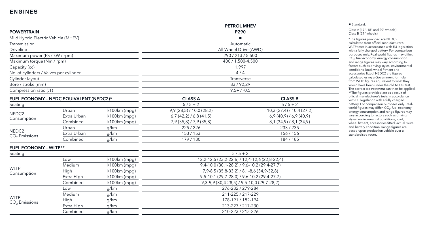|                                         |             |                 |                           | <b>PETROL MHEV</b>                                    |  |
|-----------------------------------------|-------------|-----------------|---------------------------|-------------------------------------------------------|--|
| <b>POWERTRAIN</b>                       |             |                 |                           | P290                                                  |  |
| Mild Hybrid Electric Vehicle (MHEV)     |             |                 | $\mathbf{r}$              |                                                       |  |
| Transmission                            |             |                 | Automatic                 |                                                       |  |
| <b>Driveline</b>                        |             |                 |                           | All Wheel Drive (AWD)                                 |  |
| Maximum power (PS / kW / rpm)           |             |                 |                           | 290 / 213 / 5.500                                     |  |
| Maximum torque (Nm / rpm)               |             |                 |                           | 400 / 1.500-4.500                                     |  |
| Capacity (cc)                           |             |                 |                           | 1.997                                                 |  |
| No. of cylinders / Valves per cylinder  |             |                 |                           | 4/4                                                   |  |
| Cylinder layout                         |             |                 |                           | Transverse                                            |  |
| Bore / stroke (mm)                      |             |                 |                           | 83/92,29                                              |  |
| Compression ratio (:1)                  |             |                 |                           | $9,5+7-0,5$                                           |  |
| FUEL ECONOMY - NEDC EQUIVALENT (NEDC2)* |             | <b>CLASS A</b>  | <b>CLASS B</b>            |                                                       |  |
| Seating                                 |             |                 | $5/5 + 2$                 | $5/5 + 2$                                             |  |
| NEDC <sub>2</sub><br>Consumption        | Urban       | $1/100km$ (mpg) | $9,9(28,5)$ / 10,0 (28,2) | 10,3 (27,4) / 10,4 (27,2)                             |  |
|                                         | Extra Urban | $1/100km$ (mpg) | $6,7(42,2)$ / 6,8 (41,5)  | $6,9(40,9)$ / 6,9 (40,9)                              |  |
|                                         | Combined    | $1/100km$ (mpg) | 7,9(35,8)/7,9(35,8)       | $8,1(34,9)$ / $8,1(34,9)$                             |  |
|                                         | Urban       | g/km            | 225/226                   | 233/235                                               |  |
| NEDC <sub>2</sub><br>$CO2$ Emissions    | Extra Urban | g/km            | 153/153                   | 156/156                                               |  |
|                                         | Combined    | g/km            | 179/180                   | 184 / 185                                             |  |
| <b>FUEL ECONOMY - WLTP**</b>            |             |                 |                           |                                                       |  |
| Seating                                 |             |                 |                           | $5/5 + 2$                                             |  |
|                                         | Low         | $1/100km$ (mpg) |                           | 12, 2-12, 5 (23, 2-22, 6) / 12, 4-12, 6 (22, 8-22, 4) |  |
|                                         | Medium      | l/100km (mpg)   |                           | $9,4-10,0(30,1-28,2)$ / $9,6-10,2(29,4-27,7)$         |  |
| <b>WLTP</b><br>Consumption              | High        | $1/100km$ (mpg) |                           | 7, 9-8, 5 (35, 8-33, 2) / 8, 1-8, 6 (34, 9-32, 8)     |  |
|                                         | Extra High  | $1/100km$ (mpg) |                           | $9,5-10,1(29,7-28,0)$ / $9,6-10,2(29,4-27,7)$         |  |
|                                         | Combined    | $1/100km$ (mpg) |                           | 9, 3-9, 9 (30, 4-28, 5) / 9, 5-10, 0 (29, 7-28, 2)    |  |
|                                         | Low         | g/km            | 276-282 / 279-284         |                                                       |  |
|                                         | Medium      | g/km            | 211-225 / 217-229         |                                                       |  |
| <b>WLTP</b><br>$CO2$ Emissions          | <b>High</b> | g/km            |                           | 178-191 / 182-194                                     |  |
|                                         | Extra High  | g/km            | 213-227 / 217-230         |                                                       |  |
|                                         | Combined    | g/km            | 210-223 / 215-226         |                                                       |  |

■ Standard.

Class A (17", 18" and 20" wheels) Class B (21" wheels)

\*The figures provided are NEDC2 calculated from official manufacturer's WLTP tests in accordance with EU legislation with a fully charged battery. For comparison purposes only. Real-world figures may differ.  $CO<sub>2</sub>$ , fuel economy, energy consumption and range figures may vary according to factors such as driving styles, environmental conditions, load, wheel fitment and accessories fitted. NEDC2 are figures calculated using a Government formula from WLTP figures equivalent to what they would have been under the old NEDC test. The correct tax treatment can then be applied. \*\*The figures provided are as a result of official manufacturer's tests in accordance with EU legislation with a fully charged battery. For comparison purposes only. Realworld figures may differ.  $CO<sub>2</sub>$ , fuel economy, energy consumption and range figures may vary according to factors such as driving styles, environmental conditions, load, wheel fitment, accessories fitted, actual route and battery condition. Range figures are based upon production vehicle over a standardised route.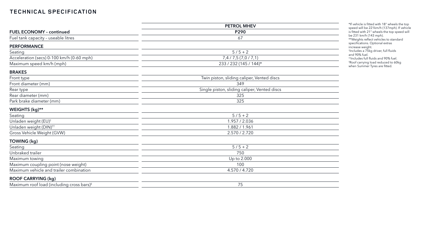|                                                       | <b>PETROL MHEV</b>                           |
|-------------------------------------------------------|----------------------------------------------|
| <b>FUEL ECONOMY - continued</b>                       | P290                                         |
| Fuel tank capacity - useable litres                   | 67                                           |
| <b>PERFORMANCE</b>                                    |                                              |
| Seating                                               | $5/5 + 2$                                    |
| Acceleration (secs) 0-100 km/h (0-60 mph)             | 7,4 / 7,5 (7,0 / 7,1)                        |
| Maximum speed km/h (mph)                              | 233 / 232 (145 / 144)*                       |
| <b>BRAKES</b>                                         |                                              |
| Front type                                            | Twin piston, sliding caliper, Vented discs   |
| Front diameter (mm)                                   | 349                                          |
| Rear type                                             | Single piston, sliding caliper, Vented discs |
| Rear diameter (mm)                                    | 325                                          |
| Park brake diameter (mm)                              | 325                                          |
| WEIGHTS (kg)**                                        |                                              |
| Seating                                               | $5/5 + 2$                                    |
| Unladen weight (EU) <sup>+</sup>                      | 1.957 / 2.036                                |
| Unladen weight (DIN) <sup>++</sup>                    | 1.882 / 1.961                                |
| Gross Vehicle Weight (GVW)                            | 2.570 / 2.720                                |
| <b>TOWING (kg)</b>                                    |                                              |
| Seating                                               | $5/5 + 2$                                    |
| Unbraked trailer                                      | 750                                          |
| Maximum towing                                        | Up to 2.000                                  |
| Maximum coupling point (nose weight)                  | 100                                          |
| Maximum vehicle and trailer combination               | 4.570 / 4.720                                |
| <b>ROOF CARRYING (kg)</b>                             |                                              |
| Maximum roof load (including cross bars) <sup>#</sup> | 75                                           |

\*If vehicle is fitted with 18" wheels the top speed will be 221km/h (137mph). If vehicle is fitted with 21" wheels the top speed will be 231 km/h (143 mph).

\*\*Weights reflect vehicles to standard specifications. Optional extras

increase weight. † Includes a 75kg driver, full fluids and 90% fuel.

††Includes full fluids and 90% fuel. ‡ Roof carrying load reduced to 60kg when Summer Tyres are fitted.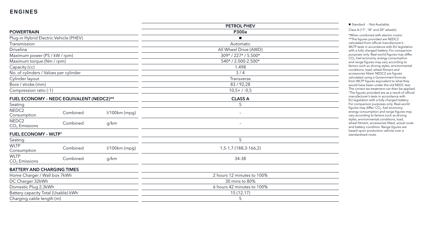|                                          |          |                 | <b>PETROL PHEV</b>         |
|------------------------------------------|----------|-----------------|----------------------------|
| <b>POWERTRAIN</b>                        |          |                 | <b>P300e</b>               |
| Plug-in Hybrid Electric Vehicle (PHEV)   |          |                 | $\blacksquare$             |
| Transmission                             |          |                 | Automatic                  |
| <b>Driveline</b>                         |          |                 | All Wheel Drive (AWD)      |
| Maximum power (PS / kW / rpm)            |          |                 | 309*/227*/5.500*           |
| Maximum torque (Nm / rpm)                |          |                 | 540*/2.000-2.500*          |
| Capacity (cc)                            |          |                 | 1.498                      |
| No. of cylinders / Valves per cylinder   |          |                 | 3/4                        |
| Cylinder layout                          |          |                 | Transverse                 |
| Bore / stroke (mm)                       |          |                 | 83/92,28                   |
| Compression ratio (:1)                   |          |                 | $10,5+7-0,5$               |
| FUEL ECONOMY - NEDC EQUIVALENT (NEDC2)** |          |                 | <b>CLASS A</b>             |
| Seating                                  |          |                 | 5                          |
| NEDC <sub>2</sub><br>Consumption         | Combined | $1/100km$ (mpg) | $\overline{\phantom{0}}$   |
| NEDC <sub>2</sub><br>$CO2$ Emissions     | Combined | g/km            | $\overline{\phantom{0}}$   |
| <b>FUEL ECONOMY - WLTP<sup>+</sup></b>   |          |                 |                            |
| Seating                                  |          |                 | 5                          |
| <b>WLTP</b><br>Consumption               | Combined | $1/100km$ (mpg) | 1,5-1,7 (188,3-166,2)      |
| <b>WLTP</b><br>$CO2$ Emissions           | Combined | g/km            | 34-38                      |
| <b>BATTERY AND CHARGING TIMES</b>        |          |                 |                            |
| Home Charger / Wall box 7kWh             |          |                 | 2 hours 12 minutes to 100% |
| DC Charger 32kWh                         |          |                 | 30 mins to 80%             |
| Domestic Plug 2,3kWh                     |          |                 | 6 hours 42 minutes to 100% |
| Battery capacity Total (Usable) kWh      |          |                 | 15(12,17)                  |
| Charging cable length (m)                |          |                 | 5                          |

■ Standard - Not Available.

Class A (17", 18" and 20" wheels)

\*When combined with electric motor. \*\*The figures provided are NEDC2 calculated from official manufacturer's WLTP tests in accordance with EU legislation with a fully charged battery. For comparison purposes only. Real-world figures may differ. CO 2, fuel economy, energy consumption and range figures may vary according to factors such as driving styles, environmental conditions, load, wheel fitment and accessories fitted. NEDC2 are figures calculated using a Government formula from WLTP figures equivalent to what they would have been under the old NEDC test. The correct tax treatment can then be applied. † The figures provided are as a result of official manufacturer's tests in accordance with EU legislation with a fully charged battery. For comparison purposes only. Real-world figures may differ. CO $_2$ , fuel economy, energy consumption and range figures may vary according to factors such as driving styles, environmental conditions, load, wheel fitment, accessories fitted, actual route and battery condition. Range figures are based upon production vehicle over a standardised route.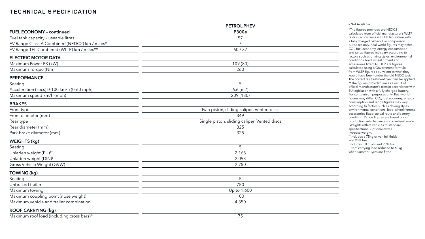|                                                        | PETROL PHEV                                  |
|--------------------------------------------------------|----------------------------------------------|
| <b>FUEL ECONOMY - continued</b>                        | <b>P300e</b>                                 |
| Fuel tank capacity - useable litres                    | 57                                           |
| EV Range Class A Combined (NEDC2) km / miles*          | $-/-$                                        |
| EV Range TEL Combined (WLTP) km / miles**              | 60/37                                        |
| <b>ELECTRIC MOTOR DATA</b>                             |                                              |
| Maximum Power PS (kW)                                  | 109 (80)                                     |
| Maximum Torque (Nm)                                    | 260                                          |
| <b>PERFORMANCE</b>                                     |                                              |
| Seating                                                | 5                                            |
| Acceleration (secs) 0-100 km/h (0-60 mph)              | 6,6(6,2)                                     |
| Maximum speed km/h (mph)                               | 209 (130)                                    |
| <b>BRAKES</b>                                          |                                              |
| Front type                                             | Twin piston, sliding caliper, Vented discs   |
| Front diameter (mm)                                    | 349                                          |
| Rear type                                              | Single piston, sliding caliper, Vented discs |
| Rear diameter (mm)                                     | 325                                          |
| Park brake diameter (mm)                               | 325                                          |
| WEIGHTS (kg) <sup>+</sup>                              |                                              |
| Seating                                                | 5                                            |
| Unladen weight (EU) <sup>++</sup>                      | 2.168                                        |
| Unladen weight (DIN) <sup>#</sup>                      | 2.093                                        |
| Gross Vehicle Weight (GVW)                             | 2.750                                        |
| TOWING (kg)                                            |                                              |
| Seating                                                | 5                                            |
| Unbraked trailer                                       | 750                                          |
| Maximum towing                                         | Up to 1.600                                  |
| Maximum coupling point (nose weight)                   | 100                                          |
| Maximum vehicle and trailer combination                | 4.350                                        |
| <b>ROOF CARRYING (kg)</b>                              |                                              |
| Maximum roof load (including cross bars) <sup>##</sup> | 75                                           |
|                                                        |                                              |

– Not Available.

‡‡Roof carrying load reduced to 60kg when Summer Tyres are fitted.

\*The figures provided are NEDC2 calculated from official manufacturer's WLTP tests in accordance with EU legislation with a fully charged battery. For comparison purposes only. Real-world figures may differ. CO 2, fuel economy, energy consumption and range figures may vary according to factors such as driving styles, environmental conditions, load, wheel fitment and accessories fitted. NEDC2 are figures calculated using a Government formula from WLTP figures equivalent to what they would have been under the old NEDC test. The correct tax treatment can then be applied. \*\*The figures provided are as a result of official manufacturer's tests in accordance with EU legislation with a fully charged battery. For comparison purposes only. Real -world figures may differ. CO $_{\text{2}}$ , fuel economy, energy consumption and range figures may vary according to factors such as driving styles, environmental conditions, load, wheel fitment, accessories fitted, actual route and battery condition. Range figures are based upon production vehicle over a standardised route. † Weights reflect vehicles to standard specifications. Optional extras increase weight. ††Includes a 75kg driver, full fluids

and 90% fuel. ‡ Includes full fluids and 90% fuel.